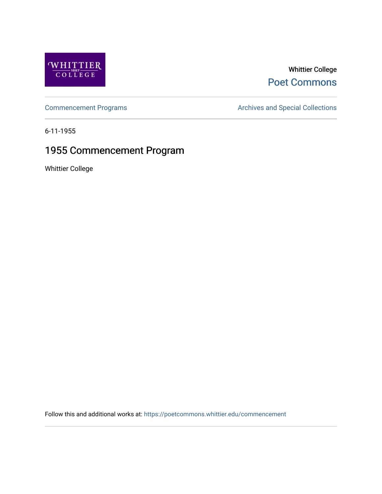

# Whittier College [Poet Commons](https://poetcommons.whittier.edu/)

[Commencement Programs](https://poetcommons.whittier.edu/commencement) **Archives and Special Collections** Archives and Special Collections

6-11-1955

# 1955 Commencement Program

Whittier College

Follow this and additional works at: [https://poetcommons.whittier.edu/commencement](https://poetcommons.whittier.edu/commencement?utm_source=poetcommons.whittier.edu%2Fcommencement%2F37&utm_medium=PDF&utm_campaign=PDFCoverPages)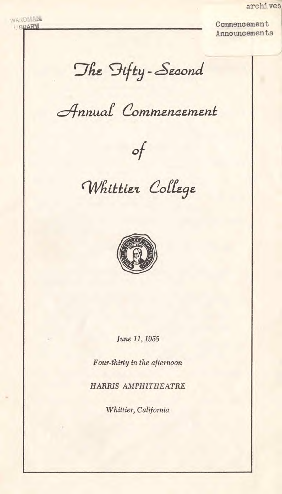archives

WARDMÀN<br>LIBRARY Announcements

The Fifty-Second

Annual Commencement



Whittier College



June 11, 1955

Four-thirty in the afternoon

HARRIS AMPHITHEATRE

Whittier, California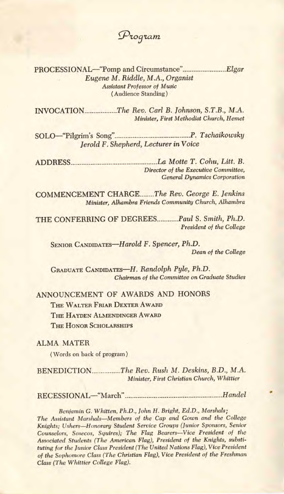$P$ *roqram* 

PROCESSIONAL—"Pomp and Circumstance"............................Elgar Eugene M. Riddle, M.A., Organist Assistant Professor of Music (Audience Standing)

INVOCATION The Rev. Carl B. Johnson, S.T.B., M.A. Minister, First Methodist Church, Hemet

SOLO—"Pilgrim's Song" P. Tschaikowsky Jerold F. Shepherd, Lecturer in Voice

ADDRESS La Motte T. Cohu, Litt. B. Director of the Executive Committee, General Dynamics Corporation

COMMENCEMENT CHARGE.......The Rev. George E. Jenkins Minister, Alhambra Friends Community Church, Alhambra

THE CONFERRING OF DEGREES........... Paul S. Smith, Ph.D. President of the College

SENIOR CANDIDATES—Harold F. Spencer, Ph.D. Dean of the College

GRADUATE CANDIDATES—H. Randolph Pyle, Ph.D. Chairman of the Committee on Graduate Studies

ANNOUNCEMENT OF AWARDS AND HONORS THE WALTER FRIAR DEXTER AWARD THE HAYDEN ALMENDINGER AWARD THE HONOR SCHOLARSHIPS

ALMA MATER

(Words on back of program)

BENEDICTION The Rev. Rush M. Deskins, B.D., M.A. Minister, First Christian Church, Whittier

RECESSIONAL-"March" March" Handel

Benjamin G. Whitten, Ph.D., John H. Bright, Ed.D., Marshals; The Assistant Marshals—Members of the Cap and Gown and the College Knights; Ushers—Honorary Student Service Groups (Junior Sponsors, Senior Counselors, Sosecos, Squires); The Flag Bearers—Vice President of the Associated Students (The American Flag), President of the Knights, substituting for the Junior Class President (The United Nations Flag), Vice President of the Sophomore Class (The Christian Flag), Vice President of the Freshman Class (The Whittier College Flag).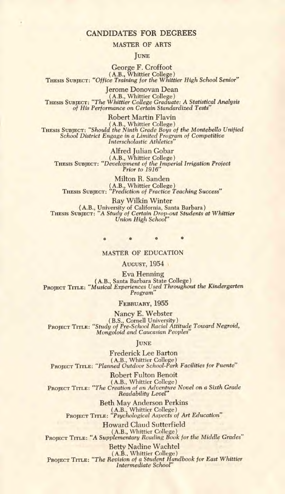## **CANDIDATES FOR DEGREES**

#### MASTER OF ARTS

#### JUNE

George F. Croffoot (A.B., Whittier College)<br>THESIS SUBJECT: "Office Training for the Whittier High School Senior"

Jerome Donovan Dean (A.B., Whittier College) THESIS SUBJECT: "The Whittier College Graduate: A Statistical Analysis of His Performance on Certain Standardized Tests"

Robert Martin Flavin (A.B., Whittier College)<br>THESIS SUBJECT: "Should the Ninth Grade Boys of the Montebello Unified<br>School District Engage in a Limited Program of Competitive Interscholastic Athletics"

Alfred Julian Gobar (A.B., Whittier College) THESIS SUBJECT: "Development of the Imperial Irrigation Project Prior to 1916"

Milton R. Sanden (A.B., Whittier College) THESIS SUBJECT: "Prediction of Practice Teaching Success"

Ray Wilkin Winter (A.B., University of California, Santa Barbara)<br>THESIS SUBJECT: "A Study of Certain Drop-out Students at Whittier<br>Union High School"

## 0

#### MASTER OF EDUCATION

AUGUST, 1954

Eva Henning (A.B., Santa Barbara State College) PROJECT TITLE: "Musical Experiences Used Throughout the Kindergarten Program"

FEBRUARY, 1955

Nancy E. Webster (B.S., Cornell University)<br>PROJECT TITLE: "Study of Pre-School Racial Attitude Toward Negroid,<br>Mongoloid and Caucasian Peoples"

#### JUNE

Frederick Lee Barton (A.B., Whittier College)<br>PROJECT TITLE: "Planned Outdoor School-Park Facilities for Puente"

Robert Fulton Benoit (A.B., Whittier College) PROJECT TITLE: "The Creation of an Adventure Novel on a Sixth Grade Readability Level"

Beth May Anderson Perkins (A.B., Whittier College)<br>PROJECT TITLE: "Psychological Aspects of Art Education"

Howard Claud Sutterfield (A.B., Whittier College)<br>PROJECT TITLE: "A Supplementary Reading Book for the Middle Grades"

Betty Nadine Wachtel (A.B., Whittier College)<br>PROJECT TITLE: "The Revision of a Student Handbook for East Whittier Intermediate School"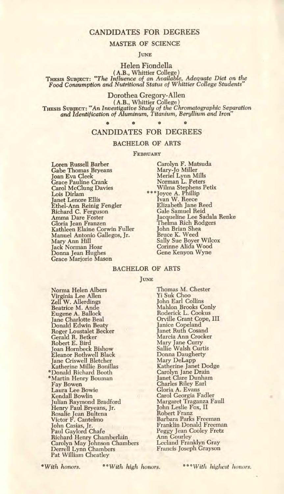## CANDIDATES FOR DEGREES

#### MASTER OF SCIENCE

JUNE

Helen Fiondella (A.B., Whittier College)

THESIS SUBJECT: "The Influence of an Available, Adequate Diet on the Food Consumption and Nutritional Status of Whittier College Students"

Dorothea Gregory-Allen

(A.B., Whittier College)<br>THESIS SUBJECT: "An Investigative Study of the Chromatographic Separation<br>and Identification of Aluminum, Titanium, Beryllium and Iron"

## \* 0 \* 0

#### CANDIDATES FOR DEGREES

#### BACHELOR OF ARTS

#### **FEBRUARY**

Loren Russell Barber Gabe Thomas Bryeans Joan Eva Cleek Grace Pauline Crank Carol McClung Davies Lois Dirlam Janet Lenore Ellis Ethel-Ann Reinig Fengler Richard C. Ferguson Amma Dare Foster Gloria Jean Franzen Kathleen Elaine Corwin Fuller Manuel Antonio Gallegos, Jr. Mary Ann Hill Jack Norman Hoar Donna Jean Hughes Grace Marjorie Mason

Carolyn F. Matsuda Mary-Jo Miller<br>Meriel Lynn Mills Norman L. Peters Wilma Stephens Petix 'Joyce A. Phillip Ivan W. Reece Elizabeth Jane Reed Gale Samuel Reid Jacqueline Lee Sadala Renke Thelma Rich Rodgers John Brian Shea Bruce K. Weed Sally Sue Boyer Wilcox Corinne Alida Wood Gene Kenyon Wyne

#### BACHELOR OF ARTS

JUNE

Norma Helen Albers Virginia Lee Allen Zell W. Allerdings Beatrice M. Ande Eugene A. Ballock Jane Charlotte Beal Donald Edwin Beaty Roger Loustalet Becker Gerald R. Betker Robert E. Bird Joan Hornbeck Bishow Eleanor Rothwell Black Jane Criswell Bletcher Katherine Millie Bonillas \*Donald Richard Booth Martin Henry Bouman Fay Bowen Laura Lee Bowie Kendall Bowlin Julian Raymond Bradford Henry Paul Bryeans, Jr. Rosalie Jean Bultena Victor F. Cantelmo John Casias, Jr. Paul Gaylord Chafe Richard Henry Chamberlain Carolyn May Johnson Chambers Derrell Lynn Chambers Pat William Cheatley

Thomas M. Chester Yi Suk Choo John Earl Collins Mahlon Brooks Conly Roderick L. Cookus Orville Grant Cope, III Janice Copeland Janet Ruth Cosand Marcia Ann Crocker Mary Jane Curry Sallie Walsh Curtis Donna Daugherty Mary DeLapp Katherine Janet Dodge Carolyn Jane Drain Janet Clare Dunham Charles Riley Earl Gloria A. Evans Carol Georgia Fadler<br>Margaret Traganza Faull John Leslie Fox, II Robert Franz Barbara Parks Freeman Franklin Donald Freeman Peggy Jean Cooley Fretz Ann Gourley Lceland Franklyn Gray Francis Joseph Grayson

\*With honors. "With high honors. \*\*\*With highest IH)flOrS.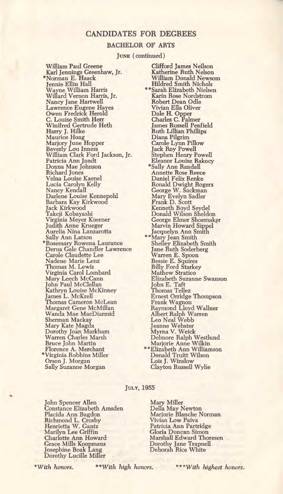## CANDIDATES FOR DEGREES

#### BACHELOR OF ARTS

JUNE (continued)

William Paul Greene Karl Jennings Greenhaw, Jr. \*Norman E. Haack Jennie Ellin Hall Wayne William Harris Willard Vernon Harris, Jr. Nancy Jane Hartwell<br>Lawrence Eugene Hayes Owen Fredrick Herold C. Louise Smith Herr Winifred Gertrude Heth Harry J. Hilke Maurice Hoag Marjory June Hopper Beverly Lou Inness William Clark Ford Jackson, Jr. Patricia Ann Jandt Donna Mae Johnson Richard Jones Velna Louise Kaenel Lucia Carolyn Kelly Nancy Kendall Darlene Louise Kennepohl Barbara Kay Kirkwood Jack Kirkwood Takeji Kobayashi Virginia Meyer Koerner Judith Anne Krueger Aurelia Nina Lanzarotta Sally Ann Latson \*Rosemary Rowena Laurance Derua Gale Chandler Lawrence Carole Claudette Lee Nadene Marie Lenz Thomas M. Lewis Virginia Carol Lombard Mary Leech McCann John Paul McClellan Kathryn Louise McKinney James L. McKrell Thomas Cameron McLean Margaret Gene McMillan Wanda Mae MacDiarmid Sherman Mackay Mary Kate Magda Dorothy Joan Markham Warren Charles Marsh Bruce John Martin Florence A. Merchant Virginia Robbins Miller Orson J. Morgan Sally Suzanne Morgan

Clifford James Neilson Katherine Ruth Nelson William Donald Newsom Hildred Smith Nichols \*\*Sarah Elizabeth Nielsen Karin Rose Nordstrom Robert Dean Odle Vivian Ella Oliver Dale H. Opper Charles C. Palmer James Russell Penfield Ruth Lillian Phillips Diana Pilgrim Carole Lynn Pillow Jack Roy Powell Stephen Henry Powell Eleanor Louise Rakocy \*Sally Ann Randall Annette Rose Reece Daniel Felix Renke Ronald Dwight Rogers George W. Sackman Mary Evelyn Sadler Frank D. Scott Kenneth Boyd Seydel Donald Wilson Sheldon George Elmer Shoemakr Marvin Howard Sippel Jacquelyn Ann Smith<br>
\*\*Mary Jean Smith<br>
Shelley Elizabeth Smith Jane Ruth Soderberg Warren E. Spoon Bessie E. Squires Billy Ford Starkey Mathew Stratico Elizabeth Suzanne Swanson John E. Taft Thomas Tellez Ernest Orridge Thompson Frank Wagnon Raymond Lloyd Wallner Albert Ralph Warren Leo Neal Webb Jeanne Webster<br>Myrna V. Weick<br>Delmore Ralph Westlund Marjorie Anne Wilkin "Elizabeth Ann Williamson Donald Truitt Wilson Lois J. Winslow Clayton Russell Wylie

#### JULY, 1955

John Spencer Allen Constance Elizabeth Amsden Placida Ann Bagdon Richmond L. Crosby Henrietta W. Gantz Marilyn Lee Griffin Charlotte Ann Howard Grace Mills Koopmans Josephine Boak Lang Dorothy Lucille Miller

Mary Miller Della May Newton Marjorie Blanche Norman Vivian Low Paiva Patricia Ann Partridge Gloria Duncan Simon Marshall Edward Thoresen Dorothy Jane Trapnell Deborah Rice White

\*With honors. "With high honors. 'With highest honors.